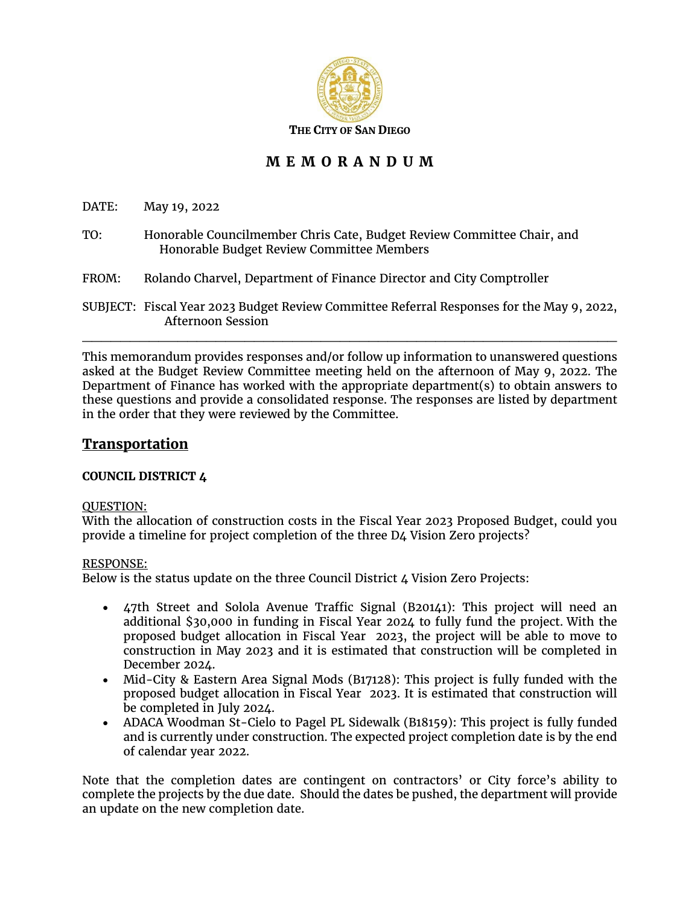

# **M E M O R A N D U M**

DATE: May 19, 2022

- TO: Honorable Councilmember Chris Cate, Budget Review Committee Chair, and Honorable Budget Review Committee Members
- FROM: Rolando Charvel, Department of Finance Director and City Comptroller

SUBJECT: Fiscal Year 2023 Budget Review Committee Referral Responses for the May 9, 2022, Afternoon Session

 $\mathcal{L}_\mathcal{L}$  , and the contribution of the contribution of the contribution of the contribution of the contribution of the contribution of the contribution of the contribution of the contribution of the contribution of

This memorandum provides responses and/or follow up information to unanswered questions asked at the Budget Review Committee meeting held on the afternoon of May 9, 2022. The Department of Finance has worked with the appropriate department(s) to obtain answers to these questions and provide a consolidated response. The responses are listed by department in the order that they were reviewed by the Committee.

# **Transportation**

# **COUNCIL DISTRICT 4**

# QUESTION:

With the allocation of construction costs in the Fiscal Year 2023 Proposed Budget, could you provide a timeline for project completion of the three D4 Vision Zero projects?

# RESPONSE:

Below is the status update on the three Council District 4 Vision Zero Projects:

- 47th Street and Solola Avenue Traffic Signal (B20141): This project will need an additional \$30,000 in funding in Fiscal Year 2024 to fully fund the project. With the proposed budget allocation in Fiscal Year 2023, the project will be able to move to construction in May 2023 and it is estimated that construction will be completed in December 2024.
- Mid-City & Eastern Area Signal Mods (B17128): This project is fully funded with the proposed budget allocation in Fiscal Year 2023. It is estimated that construction will be completed in July 2024.
- ADACA Woodman St-Cielo to Pagel PL Sidewalk (B18159): This project is fully funded and is currently under construction. The expected project completion date is by the end of calendar year 2022.

Note that the completion dates are contingent on contractors' or City force's ability to complete the projects by the due date. Should the dates be pushed, the department will provide an update on the new completion date.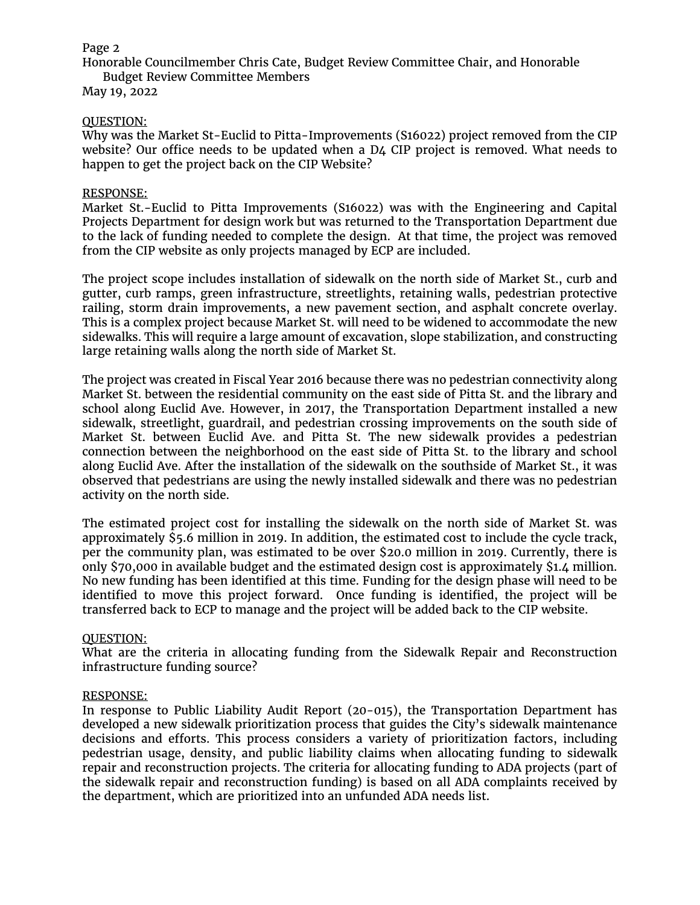Honorable Councilmember Chris Cate, Budget Review Committee Chair, and Honorable Budget Review Committee Members

May 19, 2022

## QUESTION:

Why was the Market St-Euclid to Pitta-Improvements (S16022) project removed from the CIP website? Our office needs to be updated when a D4 CIP project is removed. What needs to happen to get the project back on the CIP Website?

#### RESPONSE:

Market St.-Euclid to Pitta Improvements (S16022) was with the Engineering and Capital Projects Department for design work but was returned to the Transportation Department due to the lack of funding needed to complete the design. At that time, the project was removed from the CIP website as only projects managed by ECP are included.

The project scope includes installation of sidewalk on the north side of Market St., curb and gutter, curb ramps, green infrastructure, streetlights, retaining walls, pedestrian protective railing, storm drain improvements, a new pavement section, and asphalt concrete overlay. This is a complex project because Market St. will need to be widened to accommodate the new sidewalks. This will require a large amount of excavation, slope stabilization, and constructing large retaining walls along the north side of Market St.

The project was created in Fiscal Year 2016 because there was no pedestrian connectivity along Market St. between the residential community on the east side of Pitta St. and the library and school along Euclid Ave. However, in 2017, the Transportation Department installed a new sidewalk, streetlight, guardrail, and pedestrian crossing improvements on the south side of Market St. between Euclid Ave. and Pitta St. The new sidewalk provides a pedestrian connection between the neighborhood on the east side of Pitta St. to the library and school along Euclid Ave. After the installation of the sidewalk on the southside of Market St., it was observed that pedestrians are using the newly installed sidewalk and there was no pedestrian activity on the north side.

The estimated project cost for installing the sidewalk on the north side of Market St. was approximately \$5.6 million in 2019. In addition, the estimated cost to include the cycle track, per the community plan, was estimated to be over \$20.0 million in 2019. Currently, there is only \$70,000 in available budget and the estimated design cost is approximately \$1.4 million. No new funding has been identified at this time. Funding for the design phase will need to be identified to move this project forward. Once funding is identified, the project will be transferred back to ECP to manage and the project will be added back to the CIP website.

#### QUESTION:

What are the criteria in allocating funding from the Sidewalk Repair and Reconstruction infrastructure funding source?

#### RESPONSE:

In response to Public Liability Audit Report (20-015), the Transportation Department has developed a new sidewalk prioritization process that guides the City's sidewalk maintenance decisions and efforts. This process considers a variety of prioritization factors, including pedestrian usage, density, and public liability claims when allocating funding to sidewalk repair and reconstruction projects. The criteria for allocating funding to ADA projects (part of the sidewalk repair and reconstruction funding) is based on all ADA complaints received by the department, which are prioritized into an unfunded ADA needs list.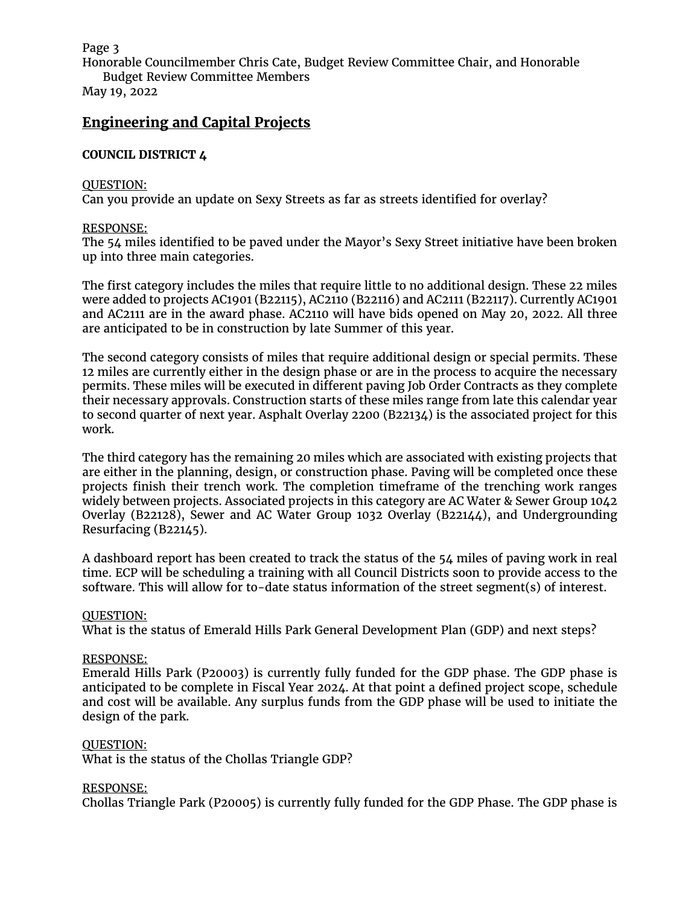Honorable Councilmember Chris Cate, Budget Review Committee Chair, and Honorable Budget Review Committee Members

May 19, 2022

# **Engineering and Capital Projects**

# **COUNCIL DISTRICT 4**

## QUESTION:

Can you provide an update on Sexy Streets as far as streets identified for overlay?

#### RESPONSE:

The 54 miles identified to be paved under the Mayor's Sexy Street initiative have been broken up into three main categories.

The first category includes the miles that require little to no additional design. These 22 miles were added to projects AC1901 (B22115), AC2110 (B22116) and AC2111 (B22117). Currently AC1901 and AC2111 are in the award phase. AC2110 will have bids opened on May 20, 2022. All three are anticipated to be in construction by late Summer of this year.

The second category consists of miles that require additional design or special permits. These 12 miles are currently either in the design phase or are in the process to acquire the necessary permits. These miles will be executed in different paving Job Order Contracts as they complete their necessary approvals. Construction starts of these miles range from late this calendar year to second quarter of next year. Asphalt Overlay 2200 (B22134) is the associated project for this work.

The third category has the remaining 20 miles which are associated with existing projects that are either in the planning, design, or construction phase. Paving will be completed once these projects finish their trench work. The completion timeframe of the trenching work ranges widely between projects. Associated projects in this category are AC Water & Sewer Group 1042 Overlay (B22128), Sewer and AC Water Group 1032 Overlay (B22144), and Undergrounding Resurfacing (B22145).

A dashboard report has been created to track the status of the 54 miles of paving work in real time. ECP will be scheduling a training with all Council Districts soon to provide access to the software. This will allow for to-date status information of the street segment(s) of interest.

#### QUESTION:

What is the status of Emerald Hills Park General Development Plan (GDP) and next steps?

#### RESPONSE:

Emerald Hills Park (P20003) is currently fully funded for the GDP phase. The GDP phase is anticipated to be complete in Fiscal Year 2024. At that point a defined project scope, schedule and cost will be available. Any surplus funds from the GDP phase will be used to initiate the design of the park.

#### QUESTION:

What is the status of the Chollas Triangle GDP?

#### RESPONSE:

Chollas Triangle Park (P20005) is currently fully funded for the GDP Phase. The GDP phase is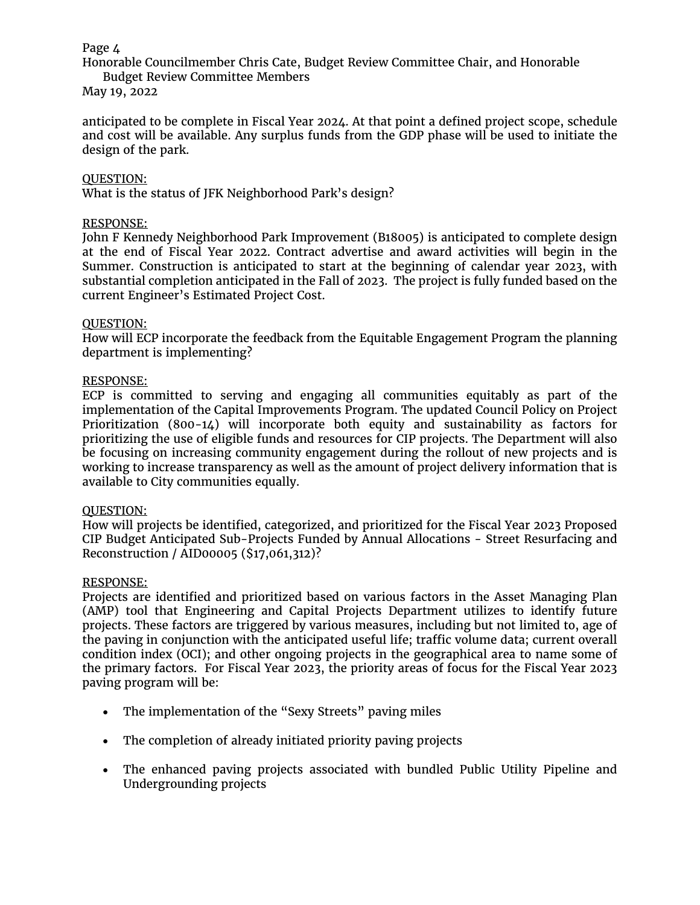Honorable Councilmember Chris Cate, Budget Review Committee Chair, and Honorable Budget Review Committee Members

May 19, 2022

anticipated to be complete in Fiscal Year 2024. At that point a defined project scope, schedule and cost will be available. Any surplus funds from the GDP phase will be used to initiate the design of the park.

### QUESTION:

What is the status of JFK Neighborhood Park's design?

### RESPONSE:

John F Kennedy Neighborhood Park Improvement (B18005) is anticipated to complete design at the end of Fiscal Year 2022. Contract advertise and award activities will begin in the Summer. Construction is anticipated to start at the beginning of calendar year 2023, with substantial completion anticipated in the Fall of 2023. The project is fully funded based on the current Engineer's Estimated Project Cost.

#### QUESTION:

How will ECP incorporate the feedback from the Equitable Engagement Program the planning department is implementing?

#### RESPONSE:

ECP is committed to serving and engaging all communities equitably as part of the implementation of the Capital Improvements Program. The updated Council Policy on Project Prioritization (800-14) will incorporate both equity and sustainability as factors for prioritizing the use of eligible funds and resources for CIP projects. The Department will also be focusing on increasing community engagement during the rollout of new projects and is working to increase transparency as well as the amount of project delivery information that is available to City communities equally.

#### QUESTION:

How will projects be identified, categorized, and prioritized for the Fiscal Year 2023 Proposed CIP Budget Anticipated Sub-Projects Funded by Annual Allocations - Street Resurfacing and Reconstruction / AID00005 (\$17,061,312)?

#### RESPONSE:

Projects are identified and prioritized based on various factors in the Asset Managing Plan (AMP) tool that Engineering and Capital Projects Department utilizes to identify future projects. These factors are triggered by various measures, including but not limited to, age of the paving in conjunction with the anticipated useful life; traffic volume data; current overall condition index (OCI); and other ongoing projects in the geographical area to name some of the primary factors. For Fiscal Year 2023, the priority areas of focus for the Fiscal Year 2023 paving program will be:

- The implementation of the "Sexy Streets" paving miles
- The completion of already initiated priority paving projects
- The enhanced paving projects associated with bundled Public Utility Pipeline and Undergrounding projects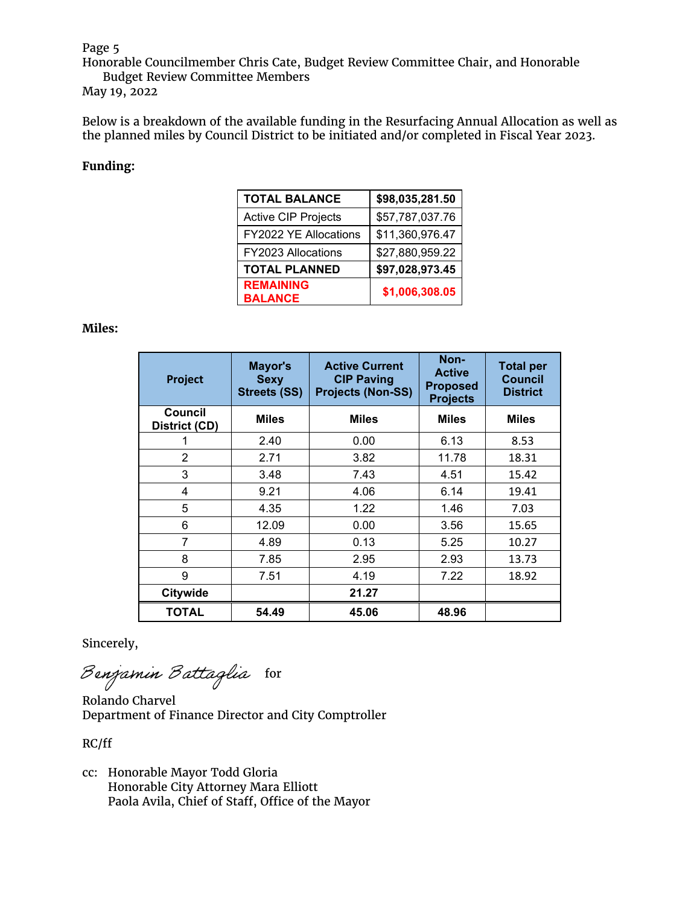Honorable Councilmember Chris Cate, Budget Review Committee Chair, and Honorable Budget Review Committee Members

May 19, 2022

Below is a breakdown of the available funding in the Resurfacing Annual Allocation as well as the planned miles by Council District to be initiated and/or completed in Fiscal Year 2023.

## **Funding:**

| <b>TOTAL BALANCE</b>               | \$98,035,281.50 |
|------------------------------------|-----------------|
| <b>Active CIP Projects</b>         | \$57,787,037.76 |
| FY2022 YE Allocations              | \$11,360,976.47 |
| FY2023 Allocations                 | \$27,880,959.22 |
| <b>TOTAL PLANNED</b>               | \$97,028,973.45 |
| <b>REMAINING</b><br><b>BALANCE</b> | \$1,006,308.05  |

#### **Miles:**

| Project                  | Mayor's<br><b>Sexy</b><br><b>Streets (SS)</b> | <b>Active Current</b><br><b>CIP Paving</b><br><b>Projects (Non-SS)</b> | Non-<br><b>Active</b><br><b>Proposed</b><br><b>Projects</b> | <b>Total per</b><br><b>Council</b><br><b>District</b> |
|--------------------------|-----------------------------------------------|------------------------------------------------------------------------|-------------------------------------------------------------|-------------------------------------------------------|
| Council<br>District (CD) | <b>Miles</b>                                  | <b>Miles</b>                                                           | <b>Miles</b>                                                | <b>Miles</b>                                          |
|                          | 2.40                                          | 0.00                                                                   | 6.13                                                        | 8.53                                                  |
| 2                        | 2.71                                          | 3.82                                                                   | 11.78                                                       | 18.31                                                 |
| 3                        | 3.48                                          | 7.43                                                                   | 4.51                                                        | 15.42                                                 |
| 4                        | 9.21                                          | 4.06                                                                   | 6.14                                                        | 19.41                                                 |
| 5                        | 4.35                                          | 1.22                                                                   | 1.46                                                        | 7.03                                                  |
| 6                        | 12.09                                         | 0.00                                                                   | 3.56                                                        | 15.65                                                 |
| 7                        | 4.89                                          | 0.13                                                                   | 5.25                                                        | 10.27                                                 |
| 8                        | 7.85                                          | 2.95                                                                   | 2.93                                                        | 13.73                                                 |
| 9                        | 7.51                                          | 4.19                                                                   | 7.22                                                        | 18.92                                                 |
| Citywide                 |                                               | 21.27                                                                  |                                                             |                                                       |
| <b>TOTAL</b>             | 54.49                                         | 45.06                                                                  | 48.96                                                       |                                                       |

Sincerely,

Benjamin Battaglia for

Rolando Charvel Department of Finance Director and City Comptroller

RC/ff

cc: Honorable Mayor Todd Gloria Honorable City Attorney Mara Elliott Paola Avila, Chief of Staff, Office of the Mayor